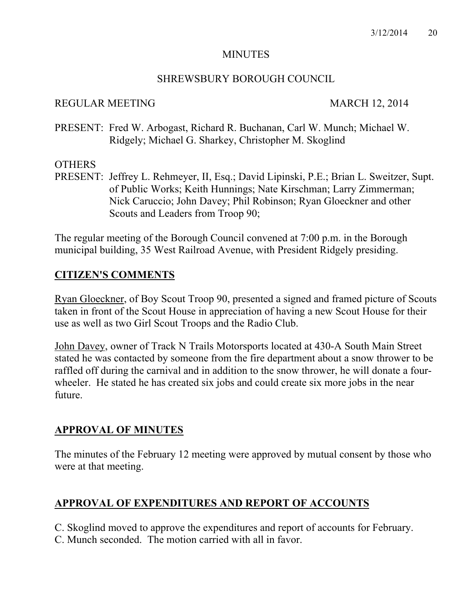## **MINUTES**

# SHREWSBURY BOROUGH COUNCIL

## REGULAR MEETING MARCH 12, 2014

PRESENT: Fred W. Arbogast, Richard R. Buchanan, Carl W. Munch; Michael W. Ridgely; Michael G. Sharkey, Christopher M. Skoglind

# **OTHERS**

PRESENT: Jeffrey L. Rehmeyer, II, Esq.; David Lipinski, P.E.; Brian L. Sweitzer, Supt. of Public Works; Keith Hunnings; Nate Kirschman; Larry Zimmerman; Nick Caruccio; John Davey; Phil Robinson; Ryan Gloeckner and other Scouts and Leaders from Troop 90;

The regular meeting of the Borough Council convened at 7:00 p.m. in the Borough municipal building, 35 West Railroad Avenue, with President Ridgely presiding.

# **CITIZEN'S COMMENTS**

Ryan Gloeckner, of Boy Scout Troop 90, presented a signed and framed picture of Scouts taken in front of the Scout House in appreciation of having a new Scout House for their use as well as two Girl Scout Troops and the Radio Club.

John Davey, owner of Track N Trails Motorsports located at 430-A South Main Street stated he was contacted by someone from the fire department about a snow thrower to be raffled off during the carnival and in addition to the snow thrower, he will donate a fourwheeler. He stated he has created six jobs and could create six more jobs in the near future.

# **APPROVAL OF MINUTES**

The minutes of the February 12 meeting were approved by mutual consent by those who were at that meeting.

# **APPROVAL OF EXPENDITURES AND REPORT OF ACCOUNTS**

C. Skoglind moved to approve the expenditures and report of accounts for February.

C. Munch seconded. The motion carried with all in favor.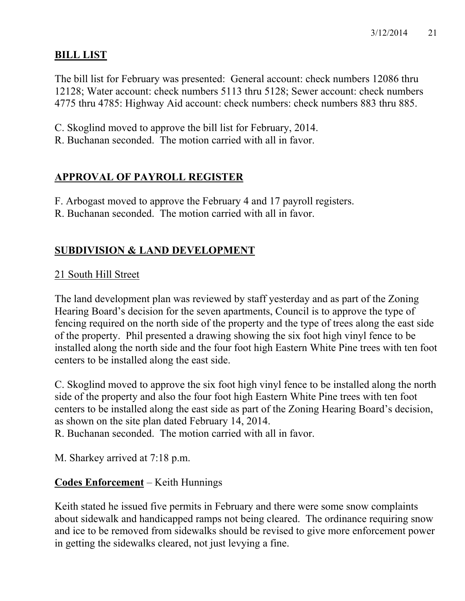# **BILL LIST**

The bill list for February was presented: General account: check numbers 12086 thru 12128; Water account: check numbers 5113 thru 5128; Sewer account: check numbers 4775 thru 4785: Highway Aid account: check numbers: check numbers 883 thru 885.

- C. Skoglind moved to approve the bill list for February, 2014.
- R. Buchanan seconded. The motion carried with all in favor.

# **APPROVAL OF PAYROLL REGISTER**

- F. Arbogast moved to approve the February 4 and 17 payroll registers.
- R. Buchanan seconded. The motion carried with all in favor.

# **SUBDIVISION & LAND DEVELOPMENT**

# 21 South Hill Street

The land development plan was reviewed by staff yesterday and as part of the Zoning Hearing Board's decision for the seven apartments, Council is to approve the type of fencing required on the north side of the property and the type of trees along the east side of the property. Phil presented a drawing showing the six foot high vinyl fence to be installed along the north side and the four foot high Eastern White Pine trees with ten foot centers to be installed along the east side.

C. Skoglind moved to approve the six foot high vinyl fence to be installed along the north side of the property and also the four foot high Eastern White Pine trees with ten foot centers to be installed along the east side as part of the Zoning Hearing Board's decision, as shown on the site plan dated February 14, 2014.

R. Buchanan seconded. The motion carried with all in favor.

M. Sharkey arrived at 7:18 p.m.

# **Codes Enforcement** – Keith Hunnings

Keith stated he issued five permits in February and there were some snow complaints about sidewalk and handicapped ramps not being cleared. The ordinance requiring snow and ice to be removed from sidewalks should be revised to give more enforcement power in getting the sidewalks cleared, not just levying a fine.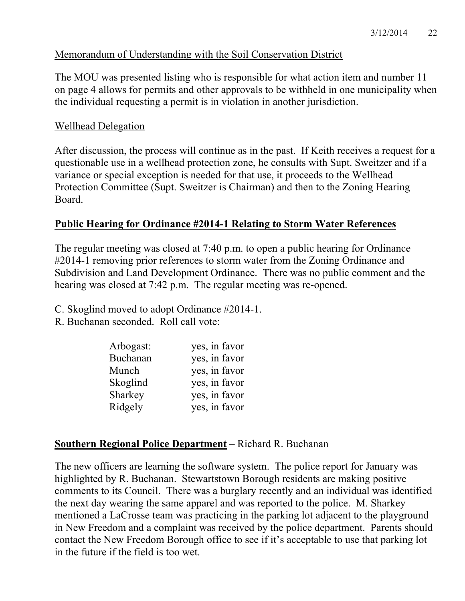# Memorandum of Understanding with the Soil Conservation District

The MOU was presented listing who is responsible for what action item and number 11 on page 4 allows for permits and other approvals to be withheld in one municipality when the individual requesting a permit is in violation in another jurisdiction.

# Wellhead Delegation

After discussion, the process will continue as in the past. If Keith receives a request for a questionable use in a wellhead protection zone, he consults with Supt. Sweitzer and if a variance or special exception is needed for that use, it proceeds to the Wellhead Protection Committee (Supt. Sweitzer is Chairman) and then to the Zoning Hearing Board.

# **Public Hearing for Ordinance #2014-1 Relating to Storm Water References**

The regular meeting was closed at 7:40 p.m. to open a public hearing for Ordinance #2014-1 removing prior references to storm water from the Zoning Ordinance and Subdivision and Land Development Ordinance. There was no public comment and the hearing was closed at 7:42 p.m. The regular meeting was re-opened.

C. Skoglind moved to adopt Ordinance #2014-1.

R. Buchanan seconded. Roll call vote:

| Arbogast: | yes, in favor |
|-----------|---------------|
| Buchanan  | yes, in favor |
| Munch     | yes, in favor |
| Skoglind  | yes, in favor |
| Sharkey   | yes, in favor |
| Ridgely   | yes, in favor |

# **Southern Regional Police Department** – Richard R. Buchanan

The new officers are learning the software system. The police report for January was highlighted by R. Buchanan. Stewartstown Borough residents are making positive comments to its Council. There was a burglary recently and an individual was identified the next day wearing the same apparel and was reported to the police. M. Sharkey mentioned a LaCrosse team was practicing in the parking lot adjacent to the playground in New Freedom and a complaint was received by the police department. Parents should contact the New Freedom Borough office to see if it's acceptable to use that parking lot in the future if the field is too wet.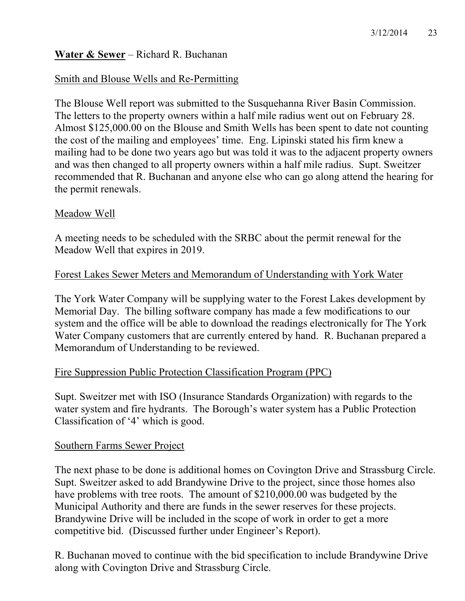# **Water & Sewer** – Richard R. Buchanan

# Smith and Blouse Wells and Re-Permitting

The Blouse Well report was submitted to the Susquehanna River Basin Commission. The letters to the property owners within a half mile radius went out on February 28. Almost \$125,000.00 on the Blouse and Smith Wells has been spent to date not counting the cost of the mailing and employees' time. Eng. Lipinski stated his firm knew a mailing had to be done two years ago but was told it was to the adjacent property owners and was then changed to all property owners within a half mile radius. Supt. Sweitzer recommended that R. Buchanan and anyone else who can go along attend the hearing for the permit renewals.

## Meadow Well

A meeting needs to be scheduled with the SRBC about the permit renewal for the Meadow Well that expires in 2019.

# Forest Lakes Sewer Meters and Memorandum of Understanding with York Water

The York Water Company will be supplying water to the Forest Lakes development by Memorial Day. The billing software company has made a few modifications to our system and the office will be able to download the readings electronically for The York Water Company customers that are currently entered by hand. R. Buchanan prepared a Memorandum of Understanding to be reviewed.

# Fire Suppression Public Protection Classification Program (PPC)

Supt. Sweitzer met with ISO (Insurance Standards Organization) with regards to the water system and fire hydrants. The Borough's water system has a Public Protection Classification of '4' which is good.

### Southern Farms Sewer Project

The next phase to be done is additional homes on Covington Drive and Strassburg Circle. Supt. Sweitzer asked to add Brandywine Drive to the project, since those homes also have problems with tree roots. The amount of \$210,000.00 was budgeted by the Municipal Authority and there are funds in the sewer reserves for these projects. Brandywine Drive will be included in the scope of work in order to get a more competitive bid. (Discussed further under Engineer's Report).

R. Buchanan moved to continue with the bid specification to include Brandywine Drive along with Covington Drive and Strassburg Circle.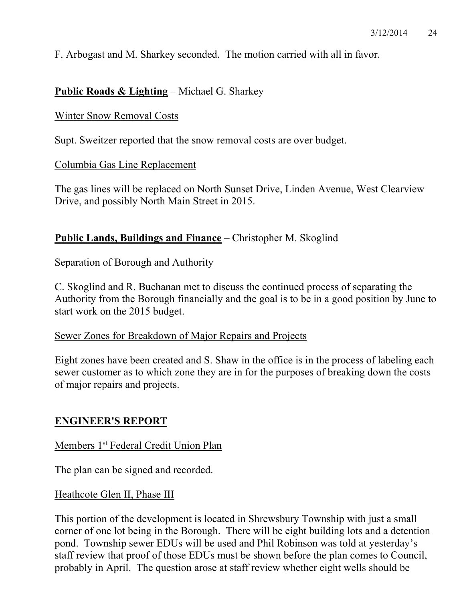F. Arbogast and M. Sharkey seconded. The motion carried with all in favor.

# **Public Roads & Lighting** – Michael G. Sharkey

#### Winter Snow Removal Costs

Supt. Sweitzer reported that the snow removal costs are over budget.

#### Columbia Gas Line Replacement

The gas lines will be replaced on North Sunset Drive, Linden Avenue, West Clearview Drive, and possibly North Main Street in 2015.

## **Public Lands, Buildings and Finance** – Christopher M. Skoglind

### Separation of Borough and Authority

C. Skoglind and R. Buchanan met to discuss the continued process of separating the Authority from the Borough financially and the goal is to be in a good position by June to start work on the 2015 budget.

## Sewer Zones for Breakdown of Major Repairs and Projects

Eight zones have been created and S. Shaw in the office is in the process of labeling each sewer customer as to which zone they are in for the purposes of breaking down the costs of major repairs and projects.

### **ENGINEER'S REPORT**

### Members 1<sup>st</sup> Federal Credit Union Plan

The plan can be signed and recorded.

#### Heathcote Glen II, Phase III

This portion of the development is located in Shrewsbury Township with just a small corner of one lot being in the Borough. There will be eight building lots and a detention pond. Township sewer EDUs will be used and Phil Robinson was told at yesterday's staff review that proof of those EDUs must be shown before the plan comes to Council, probably in April. The question arose at staff review whether eight wells should be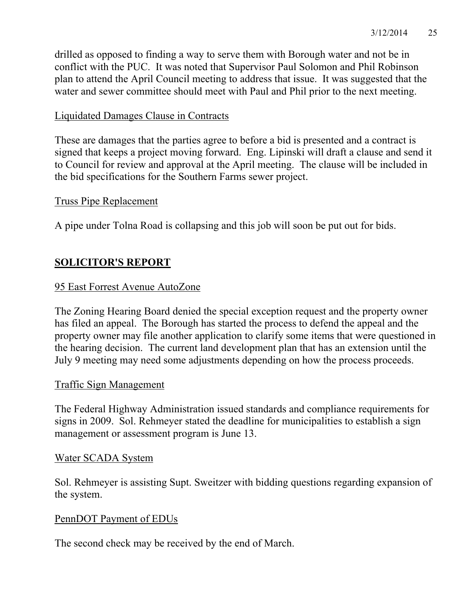drilled as opposed to finding a way to serve them with Borough water and not be in conflict with the PUC. It was noted that Supervisor Paul Solomon and Phil Robinson plan to attend the April Council meeting to address that issue. It was suggested that the water and sewer committee should meet with Paul and Phil prior to the next meeting.

# Liquidated Damages Clause in Contracts

These are damages that the parties agree to before a bid is presented and a contract is signed that keeps a project moving forward. Eng. Lipinski will draft a clause and send it to Council for review and approval at the April meeting. The clause will be included in the bid specifications for the Southern Farms sewer project.

## Truss Pipe Replacement

A pipe under Tolna Road is collapsing and this job will soon be put out for bids.

# **SOLICITOR'S REPORT**

# 95 East Forrest Avenue AutoZone

The Zoning Hearing Board denied the special exception request and the property owner has filed an appeal. The Borough has started the process to defend the appeal and the property owner may file another application to clarify some items that were questioned in the hearing decision. The current land development plan that has an extension until the July 9 meeting may need some adjustments depending on how the process proceeds.

# Traffic Sign Management

The Federal Highway Administration issued standards and compliance requirements for signs in 2009. Sol. Rehmeyer stated the deadline for municipalities to establish a sign management or assessment program is June 13.

# Water SCADA System

Sol. Rehmeyer is assisting Supt. Sweitzer with bidding questions regarding expansion of the system.

# PennDOT Payment of EDUs

The second check may be received by the end of March.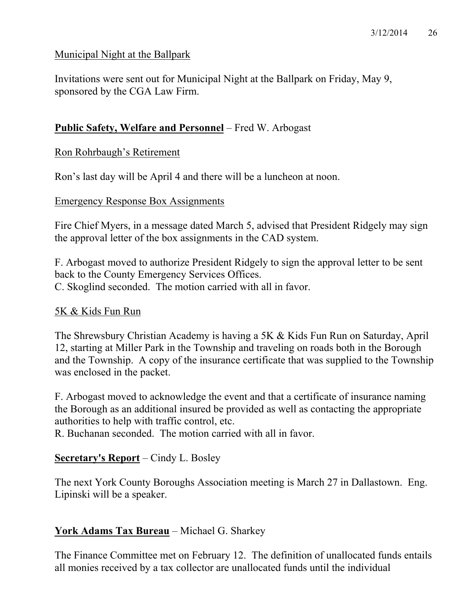# Municipal Night at the Ballpark

Invitations were sent out for Municipal Night at the Ballpark on Friday, May 9, sponsored by the CGA Law Firm.

# **Public Safety, Welfare and Personnel** – Fred W. Arbogast

Ron Rohrbaugh's Retirement

Ron's last day will be April 4 and there will be a luncheon at noon.

## Emergency Response Box Assignments

Fire Chief Myers, in a message dated March 5, advised that President Ridgely may sign the approval letter of the box assignments in the CAD system.

F. Arbogast moved to authorize President Ridgely to sign the approval letter to be sent back to the County Emergency Services Offices. C. Skoglind seconded. The motion carried with all in favor.

# 5K & Kids Fun Run

The Shrewsbury Christian Academy is having a 5K & Kids Fun Run on Saturday, April 12, starting at Miller Park in the Township and traveling on roads both in the Borough and the Township. A copy of the insurance certificate that was supplied to the Township was enclosed in the packet.

F. Arbogast moved to acknowledge the event and that a certificate of insurance naming the Borough as an additional insured be provided as well as contacting the appropriate authorities to help with traffic control, etc.

R. Buchanan seconded. The motion carried with all in favor.

# **Secretary's Report** – Cindy L. Bosley

The next York County Boroughs Association meeting is March 27 in Dallastown. Eng. Lipinski will be a speaker.

# **York Adams Tax Bureau** – Michael G. Sharkey

The Finance Committee met on February 12. The definition of unallocated funds entails all monies received by a tax collector are unallocated funds until the individual